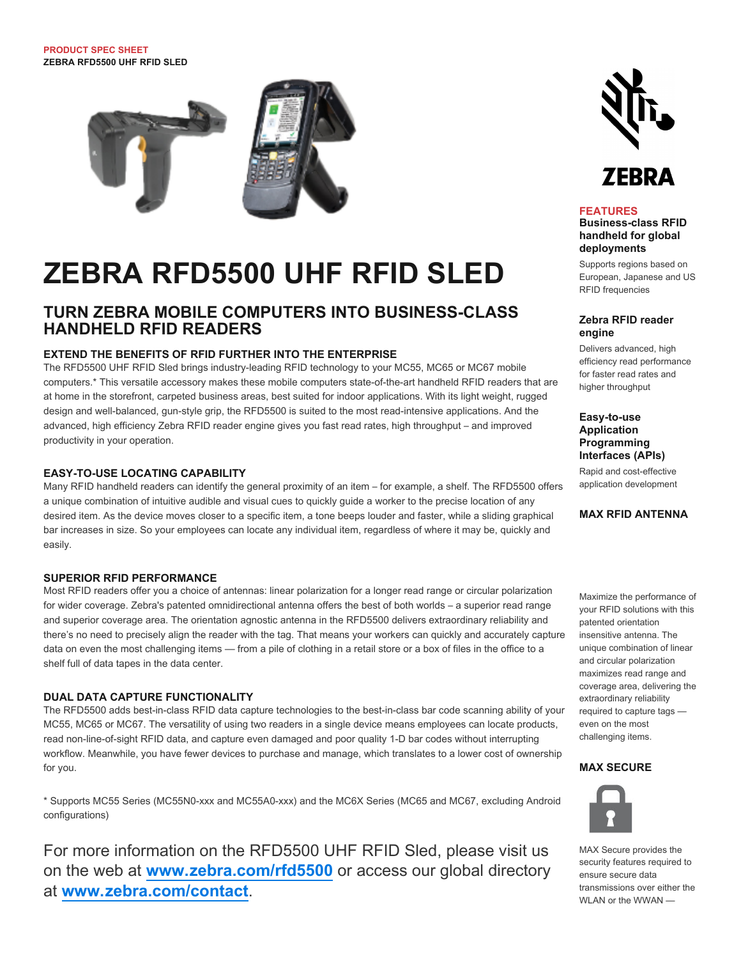

# **ZEBRA RFD5500 UHF RFID SLED**

### **TURN ZEBRA MOBILE COMPUTERS INTO BUSINESS-CLASS HANDHELD RFID READERS**

#### **EXTEND THE BENEFITS OF RFID FURTHER INTO THE ENTERPRISE**

The RFD5500 UHF RFID Sled brings industry-leading RFID technology to your MC55, MC65 or MC67 mobile computers.\* This versatile accessory makes these mobile computers state-of-the-art handheld RFID readers that are at home in the storefront, carpeted business areas, best suited for indoor applications. With its light weight, rugged design and well-balanced, gun-style grip, the RFD5500 is suited to the most read-intensive applications. And the advanced, high efficiency Zebra RFID reader engine gives you fast read rates, high throughput – and improved productivity in your operation.

#### **EASY-TO-USE LOCATING CAPABILITY**

Many RFID handheld readers can identify the general proximity of an item – for example, a shelf. The RFD5500 offers a unique combination of intuitive audible and visual cues to quickly guide a worker to the precise location of any desired item. As the device moves closer to a specific item, a tone beeps louder and faster, while a sliding graphical bar increases in size. So your employees can locate any individual item, regardless of where it may be, quickly and easily.

#### **SUPERIOR RFID PERFORMANCE**

Most RFID readers offer you a choice of antennas: linear polarization for a longer read range or circular polarization for wider coverage. Zebra's patented omnidirectional antenna offers the best of both worlds – a superior read range and superior coverage area. The orientation agnostic antenna in the RFD5500 delivers extraordinary reliability and there's no need to precisely align the reader with the tag. That means your workers can quickly and accurately capture data on even the most challenging items — from a pile of clothing in a retail store or a box of files in the office to a shelf full of data tapes in the data center.

#### **DUAL DATA CAPTURE FUNCTIONALITY**

The RFD5500 adds best-in-class RFID data capture technologies to the best-in-class bar code scanning ability of your MC55, MC65 or MC67. The versatility of using two readers in a single device means employees can locate products, read non-line-of-sight RFID data, and capture even damaged and poor quality 1-D bar codes without interrupting workflow. Meanwhile, you have fewer devices to purchase and manage, which translates to a lower cost of ownership for you.

\* Supports MC55 Series (MC55N0-xxx and MC55A0-xxx) and the MC6X Series (MC65 and MC67, excluding Android configurations)

For more information on the RFD5500 UHF RFID Sled, please visit us on the web at **[www.zebra.com/rfd5500](http://www.zebra.com/rfd5500)** or access our global directory at **[www.zebra.com/contact](http://www.zebra.com/contact)**.



#### **FEATURES**

**Business-class RFID handheld for global deployments**

Supports regions based on European, Japanese and US RFID frequencies

#### **Zebra RFID reader engine**

Delivers advanced, high efficiency read performance for faster read rates and higher throughput

**Easy-to-use Application Programming Interfaces (APIs)**

Rapid and cost-effective application development

#### **MAX RFID ANTENNA**

Maximize the performance of your RFID solutions with this patented orientation insensitive antenna. The unique combination of linear and circular polarization maximizes read range and coverage area, delivering the extraordinary reliability required to capture tags even on the most challenging items.

#### **MAX SECURE**



MAX Secure provides the security features required to ensure secure data transmissions over either the WLAN or the WWAN —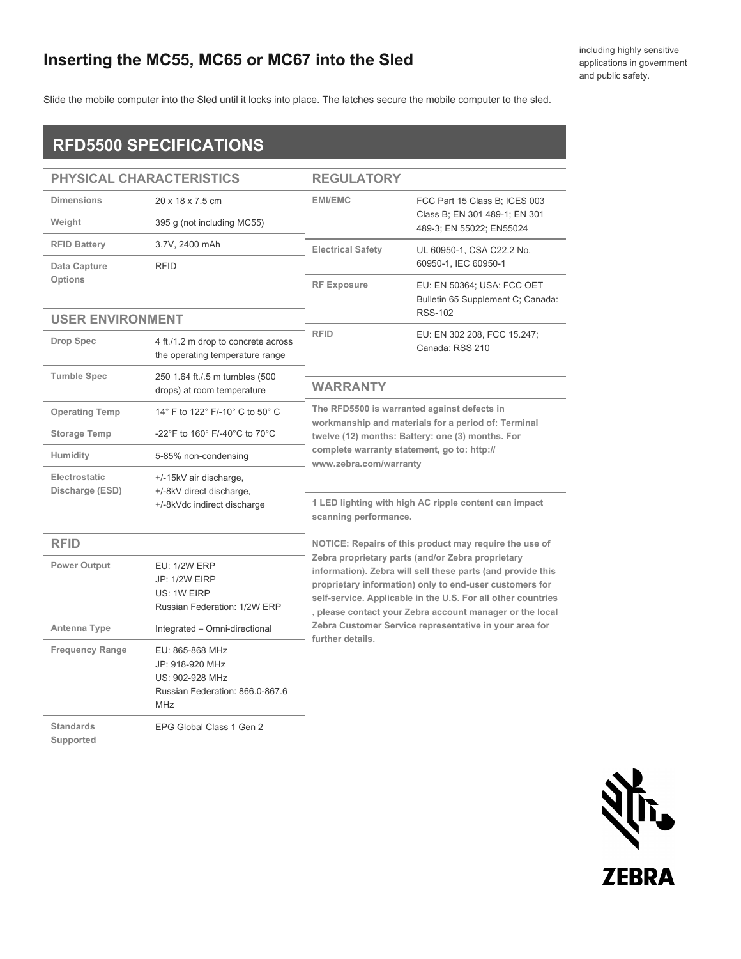## **Inserting the MC55, MC65 or MC67 into the Sled**

Slide the mobile computer into the Sled until it locks into place. The latches secure the mobile computer to the sled.

## **RFD5500 SPECIFICATIONS**

| PHYSICAL CHARACTERISTICS      |                                                                                                        | <b>REGULATORY</b>                                                                                                                                                                                                                                                                                                                                                                     |                                                                 |  |
|-------------------------------|--------------------------------------------------------------------------------------------------------|---------------------------------------------------------------------------------------------------------------------------------------------------------------------------------------------------------------------------------------------------------------------------------------------------------------------------------------------------------------------------------------|-----------------------------------------------------------------|--|
| <b>Dimensions</b>             | 20 x 18 x 7.5 cm                                                                                       | <b>EMI/EMC</b><br>FCC Part 15 Class B; ICES 003<br>Class B; EN 301 489-1; EN 301<br>489-3; EN 55022; EN55024                                                                                                                                                                                                                                                                          |                                                                 |  |
| Weight                        | 395 g (not including MC55)                                                                             |                                                                                                                                                                                                                                                                                                                                                                                       |                                                                 |  |
| <b>RFID Battery</b>           | 3.7V, 2400 mAh                                                                                         | <b>Electrical Safety</b><br>UL 60950-1, CSA C22.2 No.<br>60950-1, IEC 60950-1                                                                                                                                                                                                                                                                                                         |                                                                 |  |
| Data Capture<br>Options       | <b>RFID</b>                                                                                            |                                                                                                                                                                                                                                                                                                                                                                                       |                                                                 |  |
|                               |                                                                                                        | <b>RF Exposure</b>                                                                                                                                                                                                                                                                                                                                                                    | EU: EN 50364; USA: FCC OET<br>Bulletin 65 Supplement C; Canada: |  |
| <b>USER ENVIRONMENT</b>       |                                                                                                        |                                                                                                                                                                                                                                                                                                                                                                                       | <b>RSS-102</b>                                                  |  |
| <b>Drop Spec</b>              | 4 ft./1.2 m drop to concrete across<br>the operating temperature range                                 | <b>RFID</b>                                                                                                                                                                                                                                                                                                                                                                           | EU: EN 302 208, FCC 15.247;<br>Canada: RSS 210                  |  |
| <b>Tumble Spec</b>            | 250 1.64 ft./.5 m tumbles (500<br>drops) at room temperature                                           | <b>WARRANTY</b>                                                                                                                                                                                                                                                                                                                                                                       |                                                                 |  |
| <b>Operating Temp</b>         | 14° F to 122° F/-10° C to 50° C                                                                        | The RFD5500 is warranted against defects in<br>workmanship and materials for a period of: Terminal<br>twelve (12) months: Battery: one (3) months. For<br>complete warranty statement, go to: http://<br>www.zebra.com/warranty                                                                                                                                                       |                                                                 |  |
| <b>Storage Temp</b>           | -22°F to 160° F/-40°C to 70°C                                                                          |                                                                                                                                                                                                                                                                                                                                                                                       |                                                                 |  |
| Humidity                      | 5-85% non-condensing                                                                                   |                                                                                                                                                                                                                                                                                                                                                                                       |                                                                 |  |
| Electrostatic                 | +/-15kV air discharge,                                                                                 |                                                                                                                                                                                                                                                                                                                                                                                       |                                                                 |  |
| Discharge (ESD)               | +/-8kV direct discharge,<br>+/-8kVdc indirect discharge                                                | 1 LED lighting with high AC ripple content can impact<br>scanning performance.                                                                                                                                                                                                                                                                                                        |                                                                 |  |
| <b>RFID</b>                   |                                                                                                        |                                                                                                                                                                                                                                                                                                                                                                                       | NOTICE: Repairs of this product may require the use of          |  |
| Power Output                  | <b>EU: 1/2W ERP</b><br><b>JP: 1/2W EIRP</b><br>US: 1W EIRP<br>Russian Federation: 1/2W ERP             | Zebra proprietary parts (and/or Zebra proprietary<br>information). Zebra will sell these parts (and provide this<br>proprietary information) only to end-user customers for<br>self-service. Applicable in the U.S. For all other countries<br>, please contact your Zebra account manager or the local<br>Zebra Customer Service representative in your area for<br>further details. |                                                                 |  |
| Antenna Type                  | Integrated - Omni-directional                                                                          |                                                                                                                                                                                                                                                                                                                                                                                       |                                                                 |  |
| <b>Frequency Range</b>        | EU: 865-868 MHz<br>JP: 918-920 MHz<br>US: 902-928 MHz<br>Russian Federation: 866.0-867.6<br><b>MHz</b> |                                                                                                                                                                                                                                                                                                                                                                                       |                                                                 |  |
| <b>Standards</b><br>Supported | EPG Global Class 1 Gen 2                                                                               |                                                                                                                                                                                                                                                                                                                                                                                       |                                                                 |  |